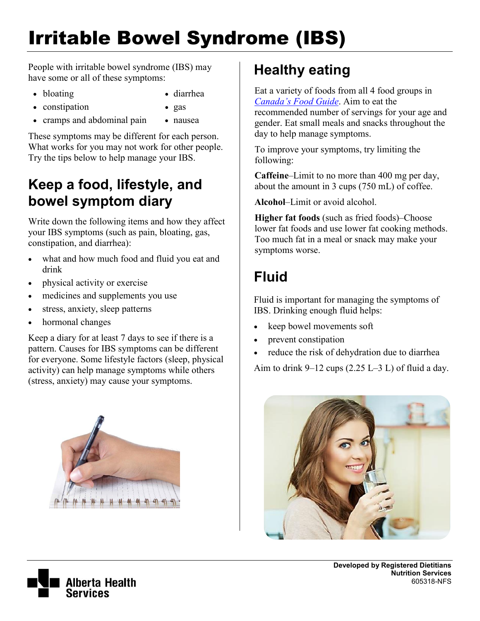# Irritable Bowel Syndrome (IBS)

People with irritable bowel syndrome (IBS) may have some or all of these symptoms:

- bloating bloating bloating bloating bloating bloating bloat bloat bloat bloat bloat bloat bloat bloat bloat bloat bloat bloat bloat bloat bloat bloat bloat bloat bloat bloat bloat bloat bloat bloat bloat bloat bloat bloa
	-
- constipation gas
	-
- cramps and abdominal pain nausea

These symptoms may be different for each person. What works for you may not work for other people. Try the tips below to help manage your IBS.

### **Keep a food, lifestyle, and bowel symptom diary**

Write down the following items and how they affect your IBS symptoms (such as pain, bloating, gas, constipation, and diarrhea):

- what and how much food and fluid you eat and drink
- physical activity or exercise
- medicines and supplements you use
- stress, anxiety, sleep patterns
- hormonal changes

Keep a diary for at least 7 days to see if there is a pattern. Causes for IBS symptoms can be different for everyone. Some lifestyle factors (sleep, physical activity) can help manage symptoms while others (stress, anxiety) may cause your symptoms.



## **Healthy eating**

Eat a variety of foods from all 4 food groups in *[Canada's Food Guide](http://www.hc-sc.gc.ca/fn-an/food-guide-aliment/index-eng.php)*. Aim to eat the recommended number of servings for your age and gender. Eat small meals and snacks throughout the day to help manage symptoms.

To improve your symptoms, try limiting the following:

**Caffeine**–Limit to no more than 400 mg per day, about the amount in 3 cups (750 mL) of coffee.

**Alcohol**–Limit or avoid alcohol.

**Higher fat foods** (such as fried foods)–Choose lower fat foods and use lower fat cooking methods. Too much fat in a meal or snack may make your symptoms worse.

# **Fluid**

Fluid is important for managing the symptoms of IBS. Drinking enough fluid helps:

- keep bowel movements soft
- prevent constipation
- reduce the risk of dehydration due to diarrhea

Aim to drink  $9-12$  cups (2.25 L–3 L) of fluid a day.

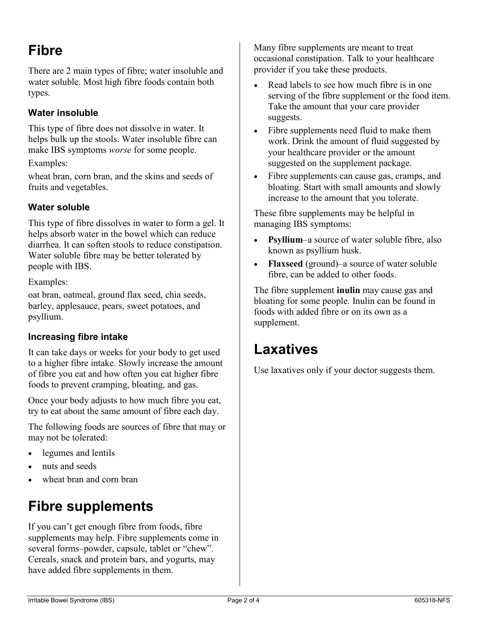# **Fibre**

There are 2 main types of fibre; water insoluble and water soluble. Most high fibre foods contain both types.

#### **Water insoluble**

This type of fibre does not dissolve in water. It helps bulk up the stools. Water insoluble fibre can make IBS symptoms *worse* for some people.

#### Examples:

wheat bran, corn bran, and the skins and seeds of fruits and vegetables.

#### **Water soluble**

This type of fibre dissolves in water to form a gel. It helps absorb water in the bowel which can reduce diarrhea. It can soften stools to reduce constipation. Water soluble fibre may be better tolerated by people with IBS.

Examples:

oat bran, oatmeal, ground flax seed, chia seeds, barley, applesauce, pears, sweet potatoes, and psyllium.

#### **Increasing fibre intake**

It can take days or weeks for your body to get used to a higher fibre intake. Slowly increase the amount of fibre you eat and how often you eat higher fibre foods to prevent cramping, bloating, and gas.

Once your body adjusts to how much fibre you eat, try to eat about the same amount of fibre each day.

The following foods are sources of fibre that may or may not be tolerated:

- legumes and lentils
- nuts and seeds
- wheat bran and corn bran

# **Fibre supplements**

If you can't get enough fibre from foods, fibre supplements may help. Fibre supplements come in several forms–powder, capsule, tablet or "chew". Cereals, snack and protein bars, and yogurts, may have added fibre supplements in them.

Many fibre supplements are meant to treat occasional constipation. Talk to your healthcare provider if you take these products.

- Read labels to see how much fibre is in one serving of the fibre supplement or the food item. Take the amount that your care provider suggests.
- Fibre supplements need fluid to make them work. Drink the amount of fluid suggested by your healthcare provider or the amount suggested on the supplement package.
- Fibre supplements can cause gas, cramps, and bloating. Start with small amounts and slowly increase to the amount that you tolerate.

These fibre supplements may be helpful in managing IBS symptoms:

- **Psyllium**–a source of water soluble fibre, also known as psyllium husk.
- **Flaxseed** (ground)–a source of water soluble fibre, can be added to other foods.

The fibre supplement **inulin** may cause gas and bloating for some people. Inulin can be found in foods with added fibre or on its own as a supplement.

### **Laxatives**

Use laxatives only if your doctor suggests them.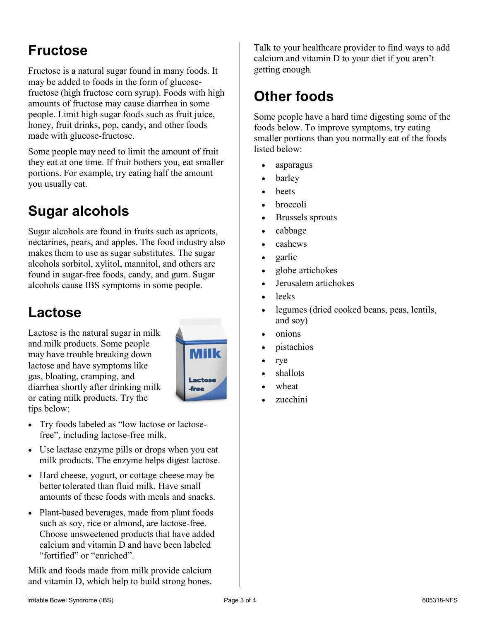### **Fructose**

Fructose is a natural sugar found in many foods. It may be added to foods in the form of glucosefructose (high fructose corn syrup). Foods with high amounts of fructose may cause diarrhea in some people. Limit high sugar foods such as fruit juice, honey, fruit drinks, pop, candy, and other foods made with glucose-fructose.

Some people may need to limit the amount of fruit they eat at one time. If fruit bothers you, eat smaller portions. For example, try eating half the amount you usually eat.

# **Sugar alcohols**

Sugar alcohols are found in fruits such as apricots, nectarines, pears, and apples. The food industry also makes them to use as sugar substitutes. The sugar alcohols sorbitol, xylitol, mannitol, and others are found in sugar-free foods, candy, and gum. Sugar alcohols cause IBS symptoms in some people.

### **Lactose**

Lactose is the natural sugar in milk and milk products. Some people may have trouble breaking down lactose and have symptoms like gas, bloating, cramping, and diarrhea shortly after drinking milk or eating milk products. Try the tips below:



- Try foods labeled as "low lactose or lactosefree", including lactose-free milk.
- Use lactase enzyme pills or drops when you eat milk products. The enzyme helps digest lactose.
- Hard cheese, yogurt, or cottage cheese may be better tolerated than fluid milk. Have small amounts of these foods with meals and snacks.
- Plant-based beverages, made from plant foods such as soy, rice or almond, are lactose-free. Choose unsweetened products that have added calcium and vitamin D and have been labeled "fortified" or "enriched".

Milk and foods made from milk provide calcium and vitamin D, which help to build strong bones.

Talk to your healthcare provider to find ways to add calcium and vitamin D to your diet if you aren't getting enough*.*

### **Other foods**

Some people have a hard time digesting some of the foods below. To improve symptoms, try eating smaller portions than you normally eat of the foods listed below:

- asparagus
- barley
- beets
- broccoli
- Brussels sprouts
- cabbage
- cashews
- garlic
- globe artichokes
- Jerusalem artichokes
- leeks
- legumes (dried cooked beans, peas, lentils, and soy)
- onions
- pistachios
- rye
- shallots
- wheat
- zucchini